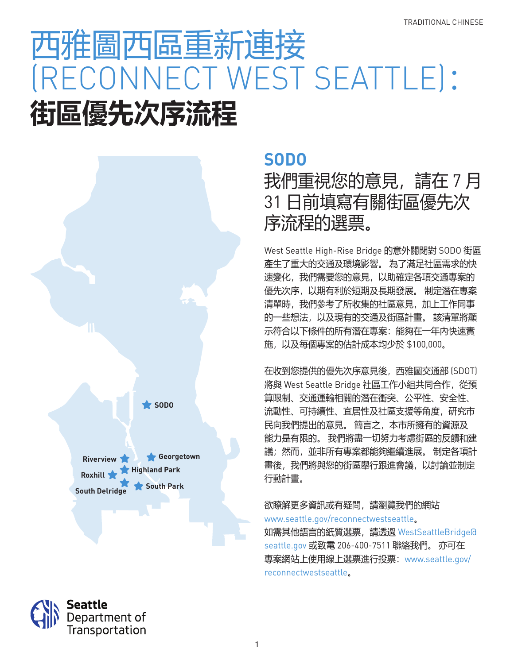# 西雅圖西區重新連接 (RECONNECT WEST SEATTLE): **街區優先次序流程**



Seattle

Department of Transportation

### **SODO**

### 我們重視您的意見,請在 7 月 31 日前填寫有關街區優先次 序流程的選票。

West Seattle High-Rise Bridge 的意外關閉對 SODO 街區 產生了重大的交通及環境影響。 為了滿足社區需求的快 速變化,我們需要您的意見,以助確定各項交通專案的 優先次序,以期有利於短期及長期發展。 制定潛在專案 清單時,我們參考了所收集的社區意見,加上工作同事 的一些想法,以及現有的交通及街區計畫。 該清單將顯 示符合以下條件的所有潛在專案:能夠在一年內快速實 施,以及每個專案的估計成本均少於 \$100,000。

在收到您提供的優先次序意見後,西雅圖交通部 (SDOT) 將與 West Seattle Bridge 社區工作小組共同合作,從預 算限制、交通運輸相關的潛在衝突、公平性、安全性、 流動性、可持續性、宜居性及社區支援等角度,研究市 民向我們提出的意見。 簡言之,本市所擁有的資源及 能力是有限的。 我們將盡一切努力考慮街區的反饋和建 議;然而,並非所有專案都能夠繼續進展。 制定各項計 畫後,我們將與您的街區舉行跟進會議,以討論並制定 行動計畫。

欲瞭解更多資訊或有疑問,請瀏覽我們的網站 www.seattle.gov/reconnectwestseattle。 如需其他語言的紙質選票,請透過 WestSeattleBridge@ seattle.gov 或致電 206-400-7511 聯絡我們。 亦可在 專案網站上使用線上選票進行投票:www.seattle.gov/ reconnectwestseattle。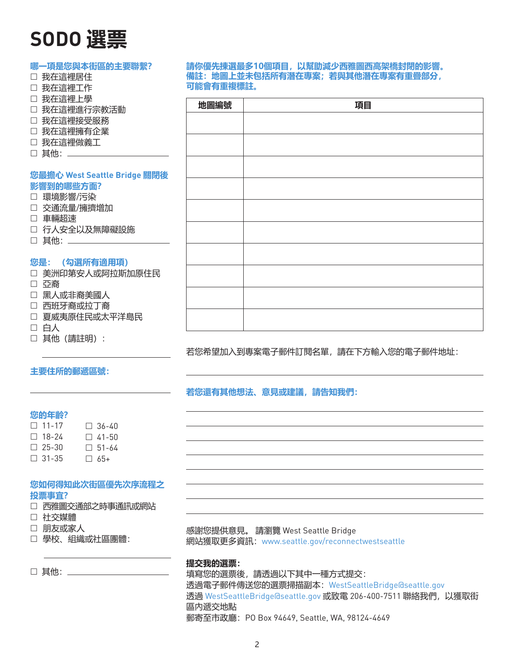## **SODO 選票**

| 哪一項是您與本街區的主要聯繫?<br>□ 我在這裡居住<br>我在這裡工作<br>$\Box$ | 請你優先揀選最多10個項目,以幫助減少西雅圖西高架橋封閉的影響。<br>備註: 地圖上並未包括所有潛在專案; 若與其他潛在專案有重疊部分,<br>可能會有重複標註。 |  |                                   |  |
|-------------------------------------------------|------------------------------------------------------------------------------------|--|-----------------------------------|--|
| □ 我在這裡上學<br>□ 我在這裡進行宗教活動                        | 地圖編號                                                                               |  | 項目                                |  |
| □ 我在這裡接受服務                                      |                                                                                    |  |                                   |  |
| □ 我在這裡擁有企業                                      |                                                                                    |  |                                   |  |
| □ 我在這裡做義工                                       |                                                                                    |  |                                   |  |
| □ 其他: ______                                    |                                                                                    |  |                                   |  |
|                                                 |                                                                                    |  |                                   |  |
| 您最擔心 West Seattle Bridge 關閉後                    |                                                                                    |  |                                   |  |
| 影響到的哪些方面?<br>□ 環境影響/污染                          |                                                                                    |  |                                   |  |
| □ 交通流量/擁擠增加                                     |                                                                                    |  |                                   |  |
| □ 車輛超速                                          |                                                                                    |  |                                   |  |
| □ 行人安全以及無障礙設施                                   |                                                                                    |  |                                   |  |
| □ 其他: _________                                 |                                                                                    |  |                                   |  |
|                                                 |                                                                                    |  |                                   |  |
| 您是: (勾選所有適用項)                                   |                                                                                    |  |                                   |  |
| □ 美洲印第安人或阿拉斯加原住民<br>□ 亞裔                        |                                                                                    |  |                                   |  |
| □ 黑人或非裔美國人                                      |                                                                                    |  |                                   |  |
| □ 西班牙裔或拉丁裔                                      |                                                                                    |  |                                   |  |
| □ 夏威夷原住民或太平洋島民                                  |                                                                                    |  |                                   |  |
| □ 白人                                            |                                                                                    |  |                                   |  |
| 其他 (請註明) :<br>$\Box$                            |                                                                                    |  |                                   |  |
|                                                 |                                                                                    |  | 若您希望加入到專案電子郵件訂閱名單,請在下方輸入您的電子郵件地址: |  |

#### **主要住所的郵遞區號:**

#### **若您還有其他想法、意見或建議,請告知我們:**

#### **您的年齡?**

| $\Box$ 11-17 | $\Box$ 36-40 |
|--------------|--------------|
| $\Box$ 18-24 | $\Box$ 41-50 |
| $\Box$ 25-30 | $\Box$ 51-64 |
| $\Box$ 31-35 | $\Box$ 65+   |

#### **您如何得知此次街區優先次序流程之 投票事宜?**

- □ 西雅圖交通部之時事通訊或網站
- □ 社交媒體
- 朋友或家人
- 學校、組織或社區團體:

□ 其他: \_\_\_\_\_\_\_\_\_\_

感謝您提供意見。 請瀏覽 West Seattle Bridge 網站獲取更多資訊:www.seattle.gov/reconnectwestseattle

#### **提交我的選票:**

填寫您的選票後,請透過以下其中一種方式提交: 透過電子郵件傳送您的選票掃描副本:WestSeattleBridge@seattle.gov 透過 WestSeattleBridge@seattle.gov 或致電 206-400-7511 聯絡我們,以獲取街 區內遞交地點 郵寄至市政廳:PO Box 94649, Seattle, WA, 98124-4649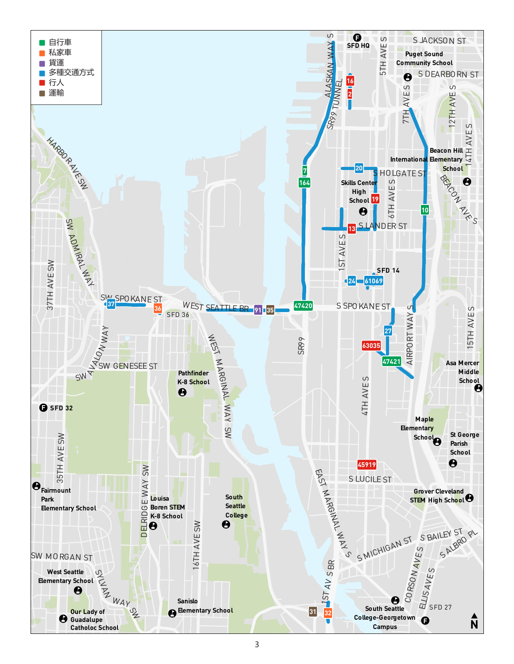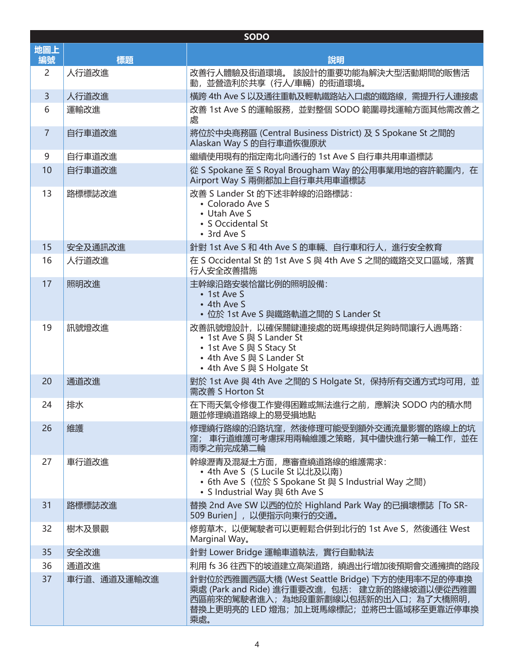| <b>SODO</b>    |             |                                                                                                                                                                                       |  |  |
|----------------|-------------|---------------------------------------------------------------------------------------------------------------------------------------------------------------------------------------|--|--|
| 地圖上            |             |                                                                                                                                                                                       |  |  |
| 編號             | 標題          | 說明                                                                                                                                                                                    |  |  |
| $\overline{2}$ | 人行道改進       | 改善行人體驗及街道環境。 該設計的重要功能為解決大型活動期間的販售活<br>動,並營造利於共享 (行人/車輛) 的街道環境。                                                                                                                        |  |  |
| $\overline{3}$ | 人行道改進       | 橫跨 4th Ave S 以及通往重軌及輕軌鐵路站入口處的鐵路線,需提升行人連接處                                                                                                                                             |  |  |
| 6              | 運輸改進        | 改善 1st Ave S 的運輸服務, 並對整個 SODO 範圍尋找運輸方面其他需改善之<br>處                                                                                                                                     |  |  |
| $\overline{7}$ | 自行車道改進      | 將位於中央商務區 (Central Business District) 及 S Spokane St 之間的<br>Alaskan Way S 的自行車道恢復原狀                                                                                                    |  |  |
| 9              | 自行車道改進      | 繼續使用現有的指定南北向通行的 1st Ave S 自行車共用車道標誌                                                                                                                                                   |  |  |
| 10             | 自行車道改進      | 從 S Spokane 至 S Royal Brougham Way 的公用事業用地的容許範圍内, 在<br>Airport Way S 兩側都加上自行車共用車道標誌                                                                                                   |  |  |
| 13             | 路標標誌改進      | 改善 S Lander St 的下述非幹線的沿路標誌:<br>• Colorado Ave S<br>• Utah Ave S<br>· S Occidental St<br>• 3rd Ave S                                                                                   |  |  |
| 15             | 安全及通訊改進     | 針對 1st Ave S 和 4th Ave S 的車輛、自行車和行人,進行安全教育                                                                                                                                            |  |  |
| 16             | 人行道改進       | 在 S Occidental St 的 1st Ave S 與 4th Ave S 之間的鐵路交叉口區域, 落實<br>行人安全改善措施                                                                                                                  |  |  |
| 17             | 照明改進        | 主幹線沿路安裝恰當比例的照明設備:<br>• 1st Ave S<br>• 4th Ave S<br>• 位於 1st Ave S 與鐵路軌道之間的 S Lander St                                                                                                |  |  |
| 19             | 訊號燈改進       | 改善訊號燈設計,以確保關鍵連接處的斑馬線提供足夠時間讓行人過馬路:<br>• 1st Ave S 與 S Lander St<br>• 1st Ave S 與 S Stacy St<br>• 4th Ave S 與 S Lander St<br>• 4th Ave S 與 S Holgate St                                 |  |  |
| 20             | 通道改進        | 對於 1st Ave 與 4th Ave 之間的 S Holgate St, 保持所有交通方式均可用, 並<br>需改善 S Horton St                                                                                                              |  |  |
| 24             | 排水          | 在下雨天氣令修復工作變得困難或無法進行之前,應解決 SODO 内的積水問<br>題並修理繞道路線上的易受損地點                                                                                                                               |  |  |
| 26             | 維護          | 修理繞行路線的沿路坑窪,然後修理可能受到額外交通流量影響的路線上的坑<br>窪; 車行道維護可考慮採用兩輪維護之策略,其中儘快進行第一輪工作,並在<br>雨季之前完成第二輪                                                                                                |  |  |
| 27             | 車行道改進       | 幹線瀝青及混凝土方面,應審查繞道路線的維護需求:<br>• 4th Ave S (S Lucile St 以北及以南)<br>• 6th Ave S (位於 S Spokane St 與 S Industrial Way 之間)<br>• S Industrial Way 與 6th Ave S                                  |  |  |
| 31             | 路標標誌改進      | 替換 2nd Ave SW 以西的位於 Highland Park Way 的已損壞標誌「To SR-<br>509 Burien」, 以便指示向東行的交通。                                                                                                       |  |  |
| 32             | 樹木及景觀       | 修剪草木, 以便駕駛者可以更輕鬆合併到北行的 1st Ave S, 然後通往 West<br>Marginal Way.                                                                                                                          |  |  |
| 35             | 安全改進        | 針對 Lower Bridge 運輸車道執法, 實行自動執法                                                                                                                                                        |  |  |
| 36             | 通道改進        | 利用 fs 36 往西下的坡道建立高架道路, 繞過出行增加後預期會交通擁擠的路段                                                                                                                                              |  |  |
| 37             | 車行道、通道及運輸改進 | 針對位於西雅圖西區大橋 (West Seattle Bridge) 下方的使用率不足的停車換<br>乘處 (Park and Ride) 進行重要改進, 包括: 建立新的路緣坡道以便從西雅圖<br>西區前來的駕駛者進入;為地段重新劃線以包括新的出入口;為了大橋照明,<br>替換上更明亮的 LED 燈泡;加上斑馬線標記;並將巴士區域移至更靠近停車換<br>乘處。 |  |  |